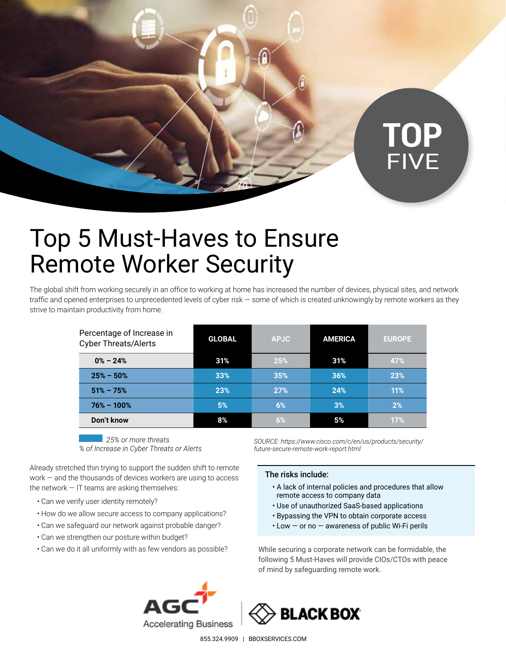

# Top 5 Must-Haves to Ensure Remote Worker Security

The global shift from working securely in an office to working at home has increased the number of devices, physical sites, and network traffic and opened enterprises to unprecedented levels of cyber risk — some of which is created unknowingly by remote workers as they strive to maintain productivity from home.

| Percentage of Increase in<br><b>Cyber Threats/Alerts</b> | <b>GLOBAL</b> | <b>APJC</b> | <b>AMERICA</b> | <b>EUROPE</b> |
|----------------------------------------------------------|---------------|-------------|----------------|---------------|
| $0\% - 24\%$                                             | 31%           | 25%         | 31%            | 47%           |
| $25\% - 50\%$                                            | 33%           | 35%         | 36%            | 23%           |
| $51\% - 75\%$                                            | 23%           | <b>27%</b>  | 24%            | 11%           |
| $76\% - 100\%$                                           | 5%            | 6%          | 3%             | 2%            |
| Don't know                                               | 8%            | 6%          | 5%             | 17%           |

*25% or more threats % of Increase in Cyber Threats or Alerts*

Already stretched thin trying to support the sudden shift to remote work — and the thousands of devices workers are using to access the network  $-$  IT teams are asking themselves:

- Can we verify user identity remotely?
- How do we allow secure access to company applications?
- Can we safeguard our network against probable danger?
- Can we strengthen our posture within budget?
- Can we do it all uniformly with as few vendors as possible?

*SOURCE: https://www.cisco.com/c/en/us/products/security/ future-secure-remote-work-report.html*

## The risks include:

- A lack of internal policies and procedures that allow remote access to company data
- Use of unauthorized SaaS-based applications
- Bypassing the VPN to obtain corporate access
- Low or no awareness of public Wi-Fi perils

While securing a corporate network can be formidable, the following 5 Must-Haves will provide CIOs/CTOs with peace of mind by safeguarding remote work.